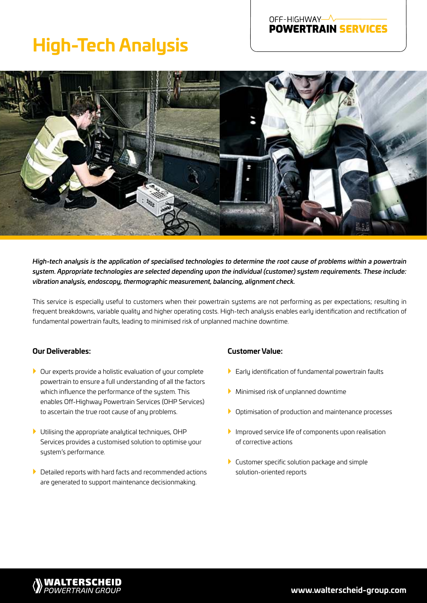# OFF-HIGHWAY-**POWERTRAIN SERVICES**

# **High-Tech Analysis**



*High-tech analysis is the application of specialised technologies to determine the root cause of problems within a powertrain system. Appropriate technologies are selected depending upon the individual (customer) system requirements. These include: vibration analysis, endoscopy, thermographic measurement, balancing, alignment check.*

This service is especially useful to customers when their powertrain systems are not performing as per expectations; resulting in frequent breakdowns, variable quality and higher operating costs. High-tech analysis enables early identification and rectification of fundamental powertrain faults, leading to minimised risk of unplanned machine downtime.

# **Our Deliverables:**

- $\blacktriangleright$  Our experts provide a holistic evaluation of your complete powertrain to ensure a full understanding of all the factors which influence the performance of the system. This enables Off-Highway Powertrain Services (OHP Services) to ascertain the true root cause of any problems.
- $\blacktriangleright$  Utilising the appropriate analytical techniques, OHP Services provides a customised solution to optimise your system's performance.
- $\blacktriangleright$  Detailed reports with hard facts and recommended actions are generated to support maintenance decisionmaking.

# **Customer Value:**

- $\blacktriangleright$  Early identification of fundamental powertrain faults
- } Minimised risk of unplanned downtime
- } Optimisation of production and maintenance processes
- $\blacktriangleright$  Improved service life of components upon realisation of corrective actions
- $\blacktriangleright$  Customer specific solution package and simple solution-oriented reports